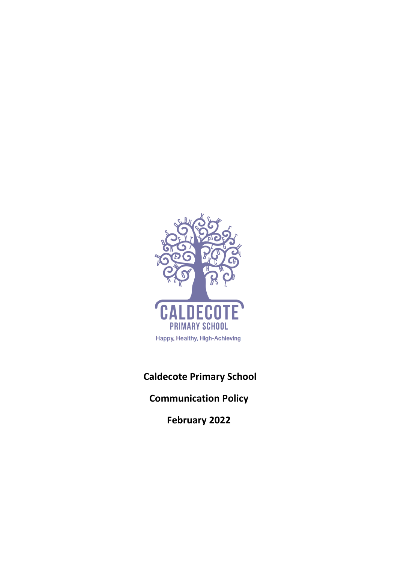

# **Caldecote Primary School**

**Communication Policy**

**February 2022**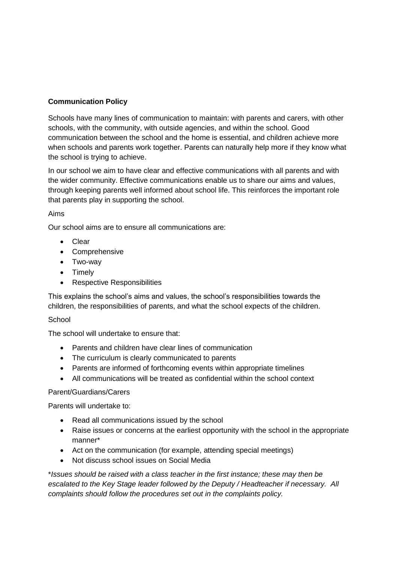# **Communication Policy**

Schools have many lines of communication to maintain: with parents and carers, with other schools, with the community, with outside agencies, and within the school. Good communication between the school and the home is essential, and children achieve more when schools and parents work together. Parents can naturally help more if they know what the school is trying to achieve.

In our school we aim to have clear and effective communications with all parents and with the wider community. Effective communications enable us to share our aims and values, through keeping parents well informed about school life. This reinforces the important role that parents play in supporting the school.

# Aims

Our school aims are to ensure all communications are:

- Clear
- Comprehensive
- Two-way
- Timely
- Respective Responsibilities

This explains the school's aims and values, the school's responsibilities towards the children, the responsibilities of parents, and what the school expects of the children.

# **School**

The school will undertake to ensure that:

- Parents and children have clear lines of communication
- The curriculum is clearly communicated to parents
- Parents are informed of forthcoming events within appropriate timelines
- All communications will be treated as confidential within the school context

## Parent/Guardians/Carers

Parents will undertake to:

- Read all communications issued by the school
- Raise issues or concerns at the earliest opportunity with the school in the appropriate manner\*
- Act on the communication (for example, attending special meetings)
- Not discuss school issues on Social Media

\**Issues should be raised with a class teacher in the first instance; these may then be escalated to the Key Stage leader followed by the Deputy / Headteacher if necessary. All complaints should follow the procedures set out in the complaints policy.*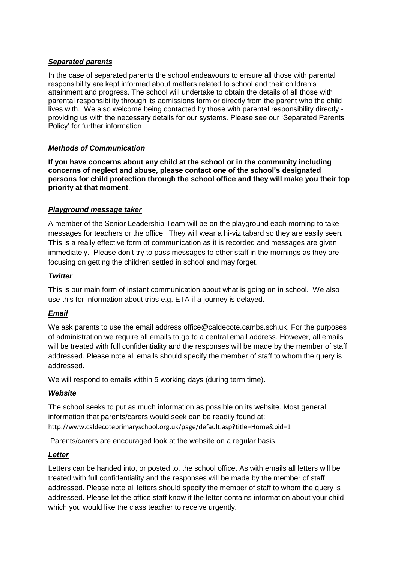# *Separated parents*

In the case of separated parents the school endeavours to ensure all those with parental responsibility are kept informed about matters related to school and their children's attainment and progress. The school will undertake to obtain the details of all those with parental responsibility through its admissions form or directly from the parent who the child lives with. We also welcome being contacted by those with parental responsibility directly providing us with the necessary details for our systems. Please see our 'Separated Parents Policy' for further information.

# *Methods of Communication*

**If you have concerns about any child at the school or in the community including concerns of neglect and abuse, please contact one of the school's designated persons for child protection through the school office and they will make you their top priority at that moment**.

# *Playground message taker*

A member of the Senior Leadership Team will be on the playground each morning to take messages for teachers or the office. They will wear a hi-viz tabard so they are easily seen*.* This is a really effective form of communication as it is recorded and messages are given immediately. Please don't try to pass messages to other staff in the mornings as they are focusing on getting the children settled in school and may forget.

## *Twitter*

This is our main form of instant communication about what is going on in school. We also use this for information about trips e.g. ETA if a journey is delayed.

## *Email*

We ask parents to use the email address [office@caldecote.cambs.sch.uk.](mailto:office@caldecote.cambs.sch.uk) For the purposes of administration we require all emails to go to a central email address. However, all emails will be treated with full confidentiality and the responses will be made by the member of staff addressed. Please note all emails should specify the member of staff to whom the query is addressed.

We will respond to emails within 5 working days (during term time).

## *Website*

The school seeks to put as much information as possible on its website. Most general information that parents/carers would seek can be readily found at: <http://www.caldecoteprimaryschool.org.uk/page/default.asp?title=Home&pid=1>

Parents/carers are encouraged look at the website on a regular basis.

## *Letter*

Letters can be handed into, or posted to, the school office. As with emails all letters will be treated with full confidentiality and the responses will be made by the member of staff addressed. Please note all letters should specify the member of staff to whom the query is addressed. Please let the office staff know if the letter contains information about your child which you would like the class teacher to receive urgently.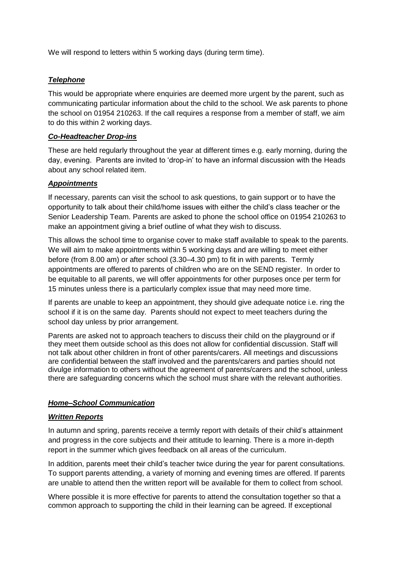We will respond to letters within 5 working days (during term time).

#### *Telephone*

This would be appropriate where enquiries are deemed more urgent by the parent, such as communicating particular information about the child to the school. We ask parents to phone the school on 01954 210263. If the call requires a response from a member of staff, we aim to do this within 2 working days.

#### *Co-Headteacher Drop-ins*

These are held regularly throughout the year at different times e.g. early morning, during the day, evening. Parents are invited to 'drop-in' to have an informal discussion with the Heads about any school related item.

#### *Appointments*

If necessary, parents can visit the school to ask questions, to gain support or to have the opportunity to talk about their child/home issues with either the child's class teacher or the Senior Leadership Team. Parents are asked to phone the school office on 01954 210263 to make an appointment giving a brief outline of what they wish to discuss.

This allows the school time to organise cover to make staff available to speak to the parents. We will aim to make appointments within 5 working days and are willing to meet either before (from 8.00 am) or after school (3.30–4.30 pm) to fit in with parents. Termly appointments are offered to parents of children who are on the SEND register. In order to be equitable to all parents, we will offer appointments for other purposes once per term for 15 minutes unless there is a particularly complex issue that may need more time.

If parents are unable to keep an appointment, they should give adequate notice i.e. ring the school if it is on the same day. Parents should not expect to meet teachers during the school day unless by prior arrangement.

Parents are asked not to approach teachers to discuss their child on the playground or if they meet them outside school as this does not allow for confidential discussion. Staff will not talk about other children in front of other parents/carers. All meetings and discussions are confidential between the staff involved and the parents/carers and parties should not divulge information to others without the agreement of parents/carers and the school, unless there are safeguarding concerns which the school must share with the relevant authorities.

#### *Home–School Communication*

#### *Written Reports*

In autumn and spring, parents receive a termly report with details of their child's attainment and progress in the core subjects and their attitude to learning. There is a more in-depth report in the summer which gives feedback on all areas of the curriculum.

In addition, parents meet their child's teacher twice during the year for parent consultations. To support parents attending, a variety of morning and evening times are offered. If parents are unable to attend then the written report will be available for them to collect from school.

Where possible it is more effective for parents to attend the consultation together so that a common approach to supporting the child in their learning can be agreed. If exceptional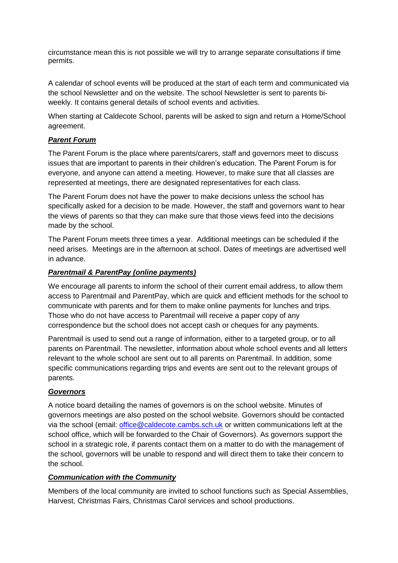circumstance mean this is not possible we will try to arrange separate consultations if time permits.

A calendar of school events will be produced at the start of each term and communicated via the school Newsletter and on the website. The school Newsletter is sent to parents biweekly. It contains general details of school events and activities.

When starting at Caldecote School, parents will be asked to sign and return a Home/School agreement.

# *Parent Forum*

The Parent Forum is the place where parents/carers, staff and governors meet to discuss issues that are important to parents in their children's education. The Parent Forum is for everyone, and anyone can attend a meeting. However, to make sure that all classes are represented at meetings, there are designated representatives for each class.

The Parent Forum does not have the power to make decisions unless the school has specifically asked for a decision to be made. However, the staff and governors want to hear the views of parents so that they can make sure that those views feed into the decisions made by the school.

The Parent Forum meets three times a year. Additional meetings can be scheduled if the need arises. Meetings are in the afternoon at school. Dates of meetings are advertised well in advance.

# *Parentmail & ParentPay (online payments)*

We encourage all parents to inform the school of their current email address, to allow them access to Parentmail and ParentPay, which are quick and efficient methods for the school to communicate with parents and for them to make online payments for lunches and trips. Those who do not have access to Parentmail will receive a paper copy of any correspondence but the school does not accept cash or cheques for any payments.

Parentmail is used to send out a range of information, either to a targeted group, or to all parents on Parentmail. The newsletter, information about whole school events and all letters relevant to the whole school are sent out to all parents on Parentmail. In addition, some specific communications regarding trips and events are sent out to the relevant groups of parents.

# *Governors*

A notice board detailing the names of governors is on the school website. Minutes of governors meetings are also posted on the school website. Governors should be contacted via the school (email: [office@caldecote.cambs.sch.uk](mailto:office@caldecote.cambs.sch.uk) or written communications left at the school office, which will be forwarded to the Chair of Governors). As governors support the school in a strategic role, if parents contact them on a matter to do with the management of the school, governors will be unable to respond and will direct them to take their concern to the school.

# *Communication with the Community*

Members of the local community are invited to school functions such as Special Assemblies, Harvest, Christmas Fairs, Christmas Carol services and school productions.